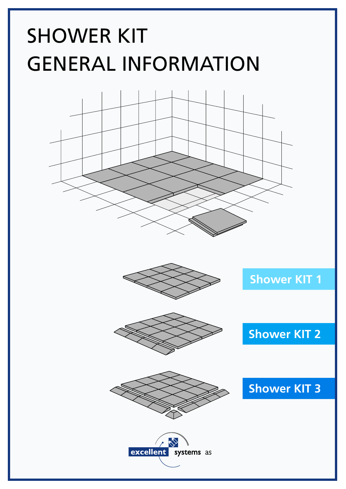# SHOWER KIT GENERAL INFORMATION

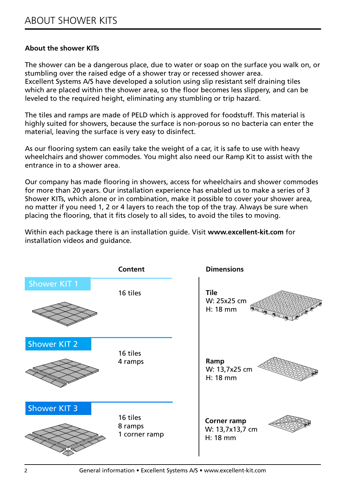#### **About the shower KITs**

The shower can be a dangerous place, due to water or soap on the surface you walk on, or stumbling over the raised edge of a shower tray or recessed shower area. Excellent Systems A/S have developed a solution using slip resistant self draining tiles which are placed within the shower area, so the floor becomes less slippery, and can be leveled to the required height, eliminating any stumbling or trip hazard.

The tiles and ramps are made of PELD which is approved for foodstuff. This material is highly suited for showers, because the surface is non-porous so no bacteria can enter the material, leaving the surface is very easy to disinfect.

As our flooring system can easily take the weight of a car, it is safe to use with heavy wheelchairs and shower commodes. You might also need our Ramp Kit to assist with the entrance in to a shower area.

Our company has made flooring in showers, access for wheelchairs and shower commodes for more than 20 years. Our installation experience has enabled us to make a series of 3 Shower KITs, which alone or in combination, make it possible to cover your shower area, no matter if you need 1, 2 or 4 layers to reach the top of the tray. Always be sure when placing the flooring, that it fits closely to all sides, to avoid the tiles to moving.

Within each package there is an installation guide. Visit **www.excellent-kit.com** for installation videos and guidance.

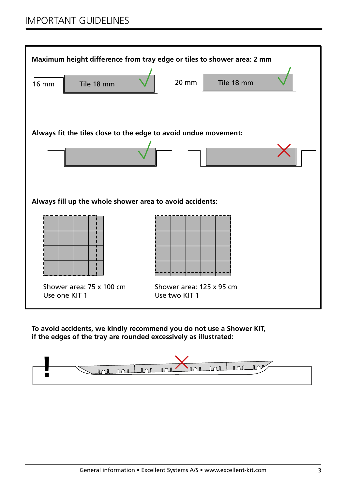

**To avoid accidents, we kindly recommend you do not use a Shower KIT, if the edges of the tray are rounded excessively as illustrated:**

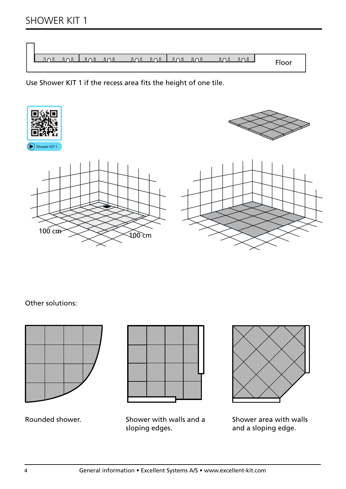## SHOWER KIT 1

|  |  | <u>INLINLINLINLUNLINLINLINL</u> |  | $\sqrt{100}$ $\sqrt{100}$ | Floor |
|--|--|---------------------------------|--|---------------------------|-------|

Use Shower KIT 1 if the recess area fits the height of one tile.









Other solutions:



Rounded shower.



Shower with walls and a sloping edges.



Shower area with walls and a sloping edge.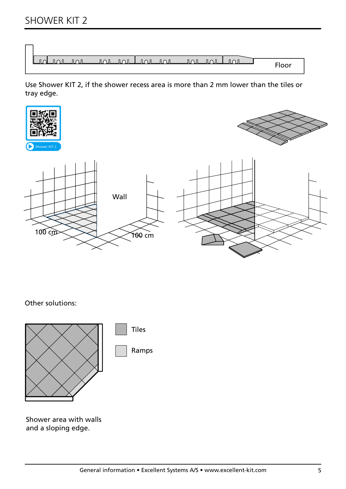| $\overline{\mathbb{R}}$ $\overline{\mathbb{R}}$ | ா∩ா | <u>mandon oi vuotoi</u> |  |  | Floor |
|-------------------------------------------------|-----|-------------------------|--|--|-------|

Use Shower KIT 2, if the shower recess area is more than 2 mm lower than the tiles or tray edge.









Other solutions:



Shower area with walls and a sloping edge.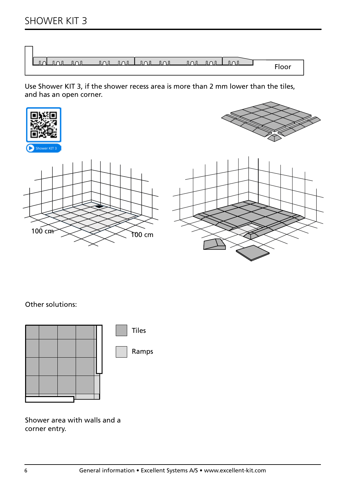| <u>nunulmini muni</u><br>Induation | $\overline{101}$<br>Floor |
|------------------------------------|---------------------------|

Use Shower KIT 3, if the shower recess area is more than 2 mm lower than the tiles, and has an open corner.



Other solutions:



Shower area with walls and a corner entry.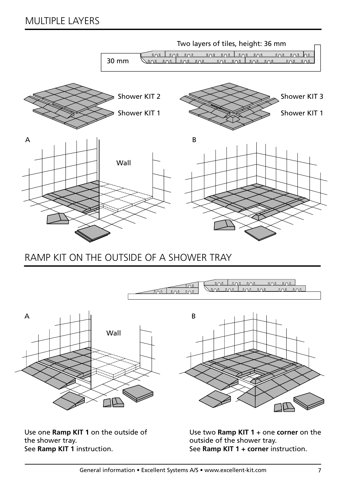

## RAMP KIT ON THE OUTSIDE OF A SHOWER TRAY



Use one **Ramp KIT 1** on the outside of the shower tray. See **Ramp KIT 1** instruction.

Use two **Ramp KIT 1** + one **corner** on the outside of the shower tray. See **Ramp KIT 1 + corner** instruction.